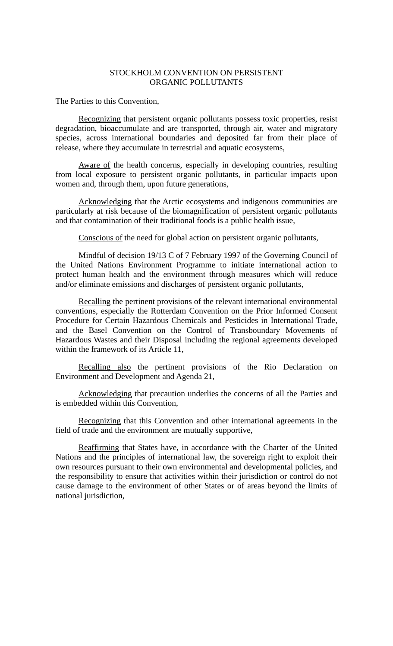#### STOCKHOLM CONVENTION ON PERSISTENT ORGANIC POLLUTANTS

The Parties to this Convention,

Recognizing that persistent organic pollutants possess toxic properties, resist degradation, bioaccumulate and are transported, through air, water and migratory species, across international boundaries and deposited far from their place of release, where they accumulate in terrestrial and aquatic ecosystems,

Aware of the health concerns, especially in developing countries, resulting from local exposure to persistent organic pollutants, in particular impacts upon women and, through them, upon future generations,

Acknowledging that the Arctic ecosystems and indigenous communities are particularly at risk because of the biomagnification of persistent organic pollutants and that contamination of their traditional foods is a public health issue,

Conscious of the need for global action on persistent organic pollutants,

Mindful of decision 19/13 C of 7 February 1997 of the Governing Council of the United Nations Environment Programme to initiate international action to protect human health and the environment through measures which will reduce and/or eliminate emissions and discharges of persistent organic pollutants,

Recalling the pertinent provisions of the relevant international environmental conventions, especially the Rotterdam Convention on the Prior Informed Consent Procedure for Certain Hazardous Chemicals and Pesticides in International Trade, and the Basel Convention on the Control of Transboundary Movements of Hazardous Wastes and their Disposal including the regional agreements developed within the framework of its Article 11,

Recalling also the pertinent provisions of the Rio Declaration on Environment and Development and Agenda 21,

Acknowledging that precaution underlies the concerns of all the Parties and is embedded within this Convention,

Recognizing that this Convention and other international agreements in the field of trade and the environment are mutually supportive,

Reaffirming that States have, in accordance with the Charter of the United Nations and the principles of international law, the sovereign right to exploit their own resources pursuant to their own environmental and developmental policies, and the responsibility to ensure that activities within their jurisdiction or control do not cause damage to the environment of other States or of areas beyond the limits of national jurisdiction,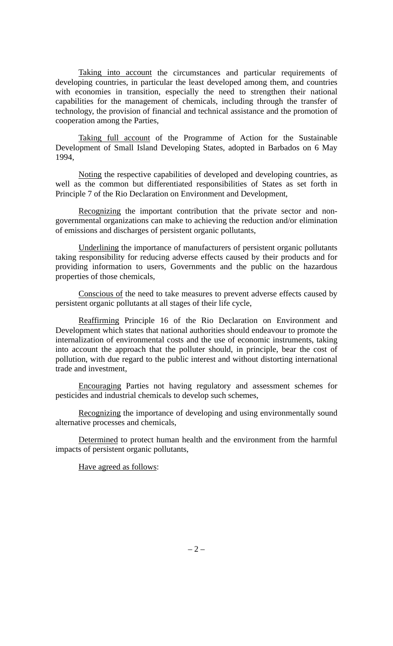Taking into account the circumstances and particular requirements of developing countries, in particular the least developed among them, and countries with economies in transition, especially the need to strengthen their national capabilities for the management of chemicals, including through the transfer of technology, the provision of financial and technical assistance and the promotion of cooperation among the Parties,

Taking full account of the Programme of Action for the Sustainable Development of Small Island Developing States, adopted in Barbados on 6 May 1994,

Noting the respective capabilities of developed and developing countries, as well as the common but differentiated responsibilities of States as set forth in Principle 7 of the Rio Declaration on Environment and Development,

Recognizing the important contribution that the private sector and nongovernmental organizations can make to achieving the reduction and/or elimination of emissions and discharges of persistent organic pollutants,

Underlining the importance of manufacturers of persistent organic pollutants taking responsibility for reducing adverse effects caused by their products and for providing information to users, Governments and the public on the hazardous properties of those chemicals,

Conscious of the need to take measures to prevent adverse effects caused by persistent organic pollutants at all stages of their life cycle,

Reaffirming Principle 16 of the Rio Declaration on Environment and Development which states that national authorities should endeavour to promote the internalization of environmental costs and the use of economic instruments, taking into account the approach that the polluter should, in principle, bear the cost of pollution, with due regard to the public interest and without distorting international trade and investment,

Encouraging Parties not having regulatory and assessment schemes for pesticides and industrial chemicals to develop such schemes,

Recognizing the importance of developing and using environmentally sound alternative processes and chemicals,

Determined to protect human health and the environment from the harmful impacts of persistent organic pollutants,

Have agreed as follows: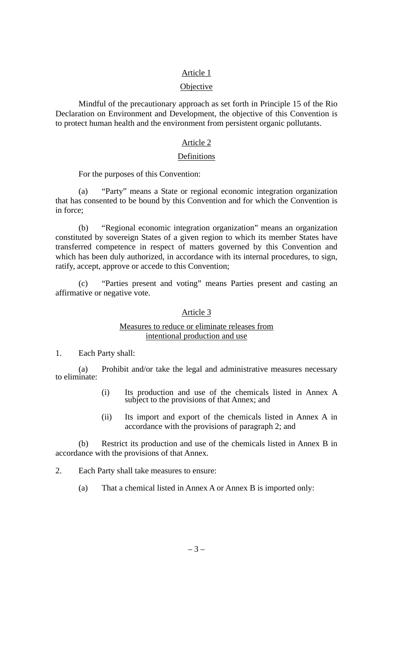## Article 1

#### **Objective**

 Mindful of the precautionary approach as set forth in Principle 15 of the Rio Declaration on Environment and Development, the objective of this Convention is to protect human health and the environment from persistent organic pollutants.

# Article 2

## Definitions

For the purposes of this Convention:

 (a) "Party" means a State or regional economic integration organization that has consented to be bound by this Convention and for which the Convention is in force;

 (b) "Regional economic integration organization" means an organization constituted by sovereign States of a given region to which its member States have transferred competence in respect of matters governed by this Convention and which has been duly authorized, in accordance with its internal procedures, to sign, ratify, accept, approve or accede to this Convention;

 (c) "Parties present and voting" means Parties present and casting an affirmative or negative vote.

#### Article 3

## Measures to reduce or eliminate releases from intentional production and use

1. Each Party shall:

 (a) Prohibit and/or take the legal and administrative measures necessary to eliminate:

- (i) Its production and use of the chemicals listed in Annex A subject to the provisions of that Annex; and
- (ii) Its import and export of the chemicals listed in Annex A in accordance with the provisions of paragraph 2; and

 (b) Restrict its production and use of the chemicals listed in Annex B in accordance with the provisions of that Annex.

2. Each Party shall take measures to ensure:

(a) That a chemical listed in Annex A or Annex B is imported only: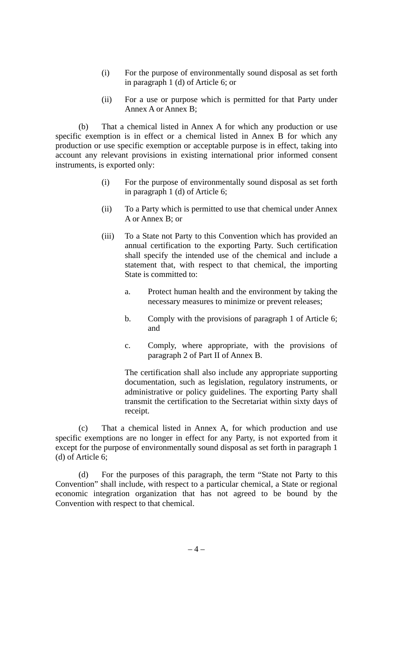- (i) For the purpose of environmentally sound disposal as set forth in paragraph 1 (d) of Article 6; or
- (ii) For a use or purpose which is permitted for that Party under Annex A or Annex B;

 (b) That a chemical listed in Annex A for which any production or use specific exemption is in effect or a chemical listed in Annex B for which any production or use specific exemption or acceptable purpose is in effect, taking into account any relevant provisions in existing international prior informed consent instruments, is exported only:

- (i) For the purpose of environmentally sound disposal as set forth in paragraph 1 (d) of Article 6;
- (ii) To a Party which is permitted to use that chemical under Annex A or Annex B; or
- (iii) To a State not Party to this Convention which has provided an annual certification to the exporting Party. Such certification shall specify the intended use of the chemical and include a statement that, with respect to that chemical, the importing State is committed to:
	- a. Protect human health and the environment by taking the necessary measures to minimize or prevent releases;
	- b. Comply with the provisions of paragraph 1 of Article 6; and
	- c. Comply, where appropriate, with the provisions of paragraph 2 of Part II of Annex B.

 The certification shall also include any appropriate supporting documentation, such as legislation, regulatory instruments, or administrative or policy guidelines. The exporting Party shall transmit the certification to the Secretariat within sixty days of receipt.

 (c) That a chemical listed in Annex A, for which production and use specific exemptions are no longer in effect for any Party, is not exported from it except for the purpose of environmentally sound disposal as set forth in paragraph 1 (d) of Article 6;

 (d) For the purposes of this paragraph, the term "State not Party to this Convention" shall include, with respect to a particular chemical, a State or regional economic integration organization that has not agreed to be bound by the Convention with respect to that chemical.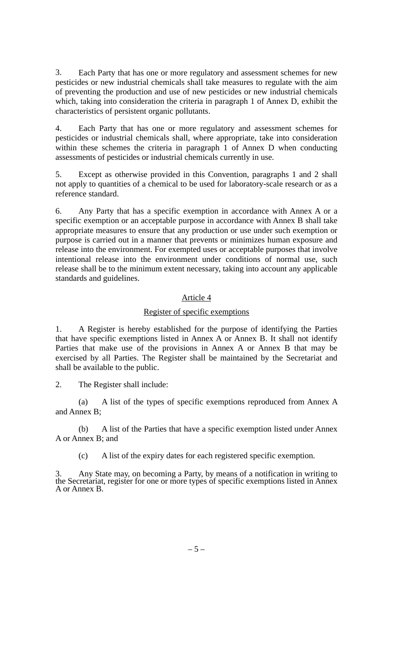3. Each Party that has one or more regulatory and assessment schemes for new pesticides or new industrial chemicals shall take measures to regulate with the aim of preventing the production and use of new pesticides or new industrial chemicals which, taking into consideration the criteria in paragraph 1 of Annex D, exhibit the characteristics of persistent organic pollutants.

4. Each Party that has one or more regulatory and assessment schemes for pesticides or industrial chemicals shall, where appropriate, take into consideration within these schemes the criteria in paragraph 1 of Annex D when conducting assessments of pesticides or industrial chemicals currently in use.

5. Except as otherwise provided in this Convention, paragraphs 1 and 2 shall not apply to quantities of a chemical to be used for laboratory-scale research or as a reference standard.

6. Any Party that has a specific exemption in accordance with Annex A or a specific exemption or an acceptable purpose in accordance with Annex B shall take appropriate measures to ensure that any production or use under such exemption or purpose is carried out in a manner that prevents or minimizes human exposure and release into the environment. For exempted uses or acceptable purposes that involve intentional release into the environment under conditions of normal use, such release shall be to the minimum extent necessary, taking into account any applicable standards and guidelines.

# Article 4

# Register of specific exemptions

1. A Register is hereby established for the purpose of identifying the Parties that have specific exemptions listed in Annex A or Annex B. It shall not identify Parties that make use of the provisions in Annex A or Annex B that may be exercised by all Parties. The Register shall be maintained by the Secretariat and shall be available to the public.

2. The Register shall include:

 (a) A list of the types of specific exemptions reproduced from Annex A and Annex B;

 (b) A list of the Parties that have a specific exemption listed under Annex A or Annex B; and

(c) A list of the expiry dates for each registered specific exemption.

3. Any State may, on becoming a Party, by means of a notification in writing to the Secretariat, register for one or more types of specific exemptions listed in Annex A or Annex B.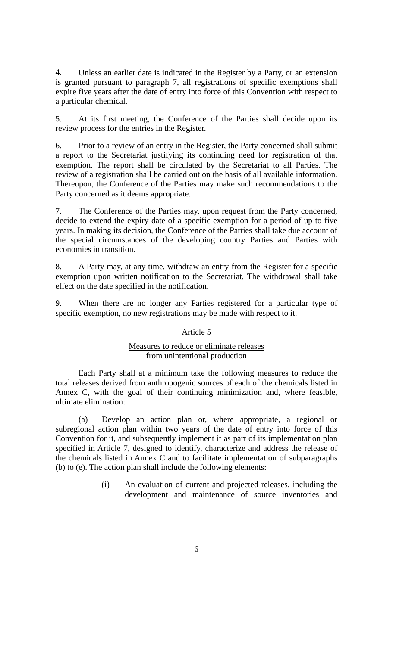4. Unless an earlier date is indicated in the Register by a Party, or an extension is granted pursuant to paragraph 7, all registrations of specific exemptions shall expire five years after the date of entry into force of this Convention with respect to a particular chemical.

5. At its first meeting, the Conference of the Parties shall decide upon its review process for the entries in the Register.

6. Prior to a review of an entry in the Register, the Party concerned shall submit a report to the Secretariat justifying its continuing need for registration of that exemption. The report shall be circulated by the Secretariat to all Parties. The review of a registration shall be carried out on the basis of all available information. Thereupon, the Conference of the Parties may make such recommendations to the Party concerned as it deems appropriate.

7. The Conference of the Parties may, upon request from the Party concerned, decide to extend the expiry date of a specific exemption for a period of up to five years. In making its decision, the Conference of the Parties shall take due account of the special circumstances of the developing country Parties and Parties with economies in transition.

8. A Party may, at any time, withdraw an entry from the Register for a specific exemption upon written notification to the Secretariat. The withdrawal shall take effect on the date specified in the notification.

9. When there are no longer any Parties registered for a particular type of specific exemption, no new registrations may be made with respect to it.

# Article 5

# Measures to reduce or eliminate releases from unintentional production

 Each Party shall at a minimum take the following measures to reduce the total releases derived from anthropogenic sources of each of the chemicals listed in Annex C, with the goal of their continuing minimization and, where feasible, ultimate elimination:

 (a) Develop an action plan or, where appropriate, a regional or subregional action plan within two years of the date of entry into force of this Convention for it, and subsequently implement it as part of its implementation plan specified in Article 7, designed to identify, characterize and address the release of the chemicals listed in Annex C and to facilitate implementation of subparagraphs (b) to (e). The action plan shall include the following elements:

> (i) An evaluation of current and projected releases, including the development and maintenance of source inventories and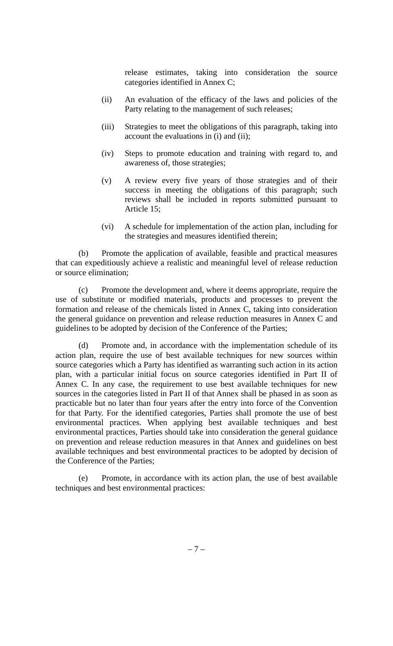release estimates, taking into consideration the source categories identified in Annex C;

- (ii) An evaluation of the efficacy of the laws and policies of the Party relating to the management of such releases;
- (iii) Strategies to meet the obligations of this paragraph, taking into account the evaluations in (i) and (ii);
- (iv) Steps to promote education and training with regard to, and awareness of, those strategies;
- (v) A review every five years of those strategies and of their success in meeting the obligations of this paragraph; such reviews shall be included in reports submitted pursuant to Article 15;
- (vi) A schedule for implementation of the action plan, including for the strategies and measures identified therein;

 (b) Promote the application of available, feasible and practical measures that can expeditiously achieve a realistic and meaningful level of release reduction or source elimination;

 (c) Promote the development and, where it deems appropriate, require the use of substitute or modified materials, products and processes to prevent the formation and release of the chemicals listed in Annex C, taking into consideration the general guidance on prevention and release reduction measures in Annex C and guidelines to be adopted by decision of the Conference of the Parties;

 (d) Promote and, in accordance with the implementation schedule of its action plan, require the use of best available techniques for new sources within source categories which a Party has identified as warranting such action in its action plan, with a particular initial focus on source categories identified in Part II of Annex C. In any case, the requirement to use best available techniques for new sources in the categories listed in Part II of that Annex shall be phased in as soon as practicable but no later than four years after the entry into force of the Convention for that Party. For the identified categories, Parties shall promote the use of best environmental practices. When applying best available techniques and best environmental practices, Parties should take into consideration the general guidance on prevention and release reduction measures in that Annex and guidelines on best available techniques and best environmental practices to be adopted by decision of the Conference of the Parties;

 (e) Promote, in accordance with its action plan, the use of best available techniques and best environmental practices: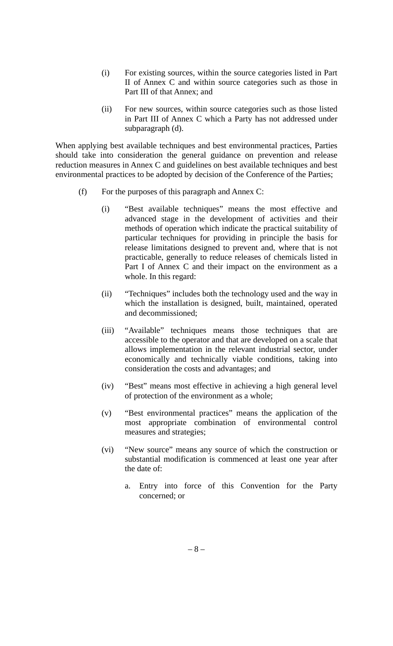- (i) For existing sources, within the source categories listed in Part II of Annex C and within source categories such as those in Part III of that Annex; and
- (ii) For new sources, within source categories such as those listed in Part III of Annex C which a Party has not addressed under subparagraph (d).

When applying best available techniques and best environmental practices, Parties should take into consideration the general guidance on prevention and release reduction measures in Annex C and guidelines on best available techniques and best environmental practices to be adopted by decision of the Conference of the Parties;

- (f) For the purposes of this paragraph and Annex C:
	- (i) "Best available techniques" means the most effective and advanced stage in the development of activities and their methods of operation which indicate the practical suitability of particular techniques for providing in principle the basis for release limitations designed to prevent and, where that is not practicable, generally to reduce releases of chemicals listed in Part I of Annex C and their impact on the environment as a whole. In this regard:
	- (ii) "Techniques" includes both the technology used and the way in which the installation is designed, built, maintained, operated and decommissioned;
	- (iii) "Available" techniques means those techniques that are accessible to the operator and that are developed on a scale that allows implementation in the relevant industrial sector, under economically and technically viable conditions, taking into consideration the costs and advantages; and
	- (iv) "Best" means most effective in achieving a high general level of protection of the environment as a whole;
	- (v) "Best environmental practices" means the application of the most appropriate combination of environmental control measures and strategies;
	- (vi) "New source" means any source of which the construction or substantial modification is commenced at least one year after the date of:
		- a. Entry into force of this Convention for the Party concerned; or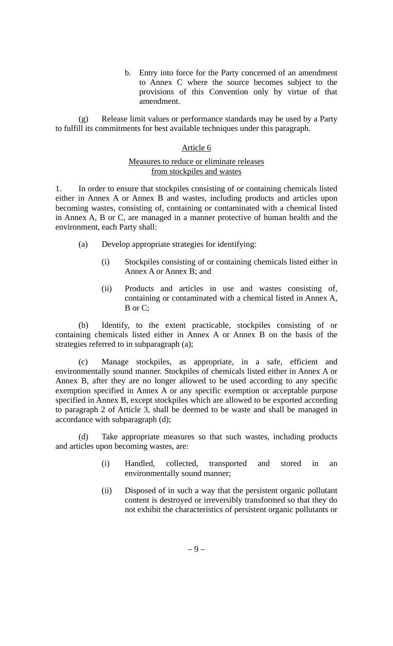b. Entry into force for the Party concerned of an amendment to Annex C where the source becomes subject to the provisions of this Convention only by virtue of that amendment.

 (g) Release limit values or performance standards may be used by a Party to fulfill its commitments for best available techniques under this paragraph.

#### Article 6

## Measures to reduce or eliminate releases from stockpiles and wastes

1. In order to ensure that stockpiles consisting of or containing chemicals listed either in Annex A or Annex B and wastes, including products and articles upon becoming wastes, consisting of, containing or contaminated with a chemical listed in Annex A, B or C, are managed in a manner protective of human health and the environment, each Party shall:

- (a) Develop appropriate strategies for identifying:
	- (i) Stockpiles consisting of or containing chemicals listed either in Annex A or Annex B; and
	- (ii) Products and articles in use and wastes consisting of, containing or contaminated with a chemical listed in Annex A, B or C;

 (b) Identify, to the extent practicable, stockpiles consisting of or containing chemicals listed either in Annex A or Annex B on the basis of the strategies referred to in subparagraph (a);

 (c) Manage stockpiles, as appropriate, in a safe, efficient and environmentally sound manner. Stockpiles of chemicals listed either in Annex A or Annex B, after they are no longer allowed to be used according to any specific exemption specified in Annex A or any specific exemption or acceptable purpose specified in Annex B, except stockpiles which are allowed to be exported according to paragraph 2 of Article 3, shall be deemed to be waste and shall be managed in accordance with subparagraph (d);

 (d) Take appropriate measures so that such wastes, including products and articles upon becoming wastes, are:

- (i) Handled, collected, transported and stored in an environmentally sound manner;
- (ii) Disposed of in such a way that the persistent organic pollutant content is destroyed or irreversibly transformed so that they do not exhibit the characteristics of persistent organic pollutants or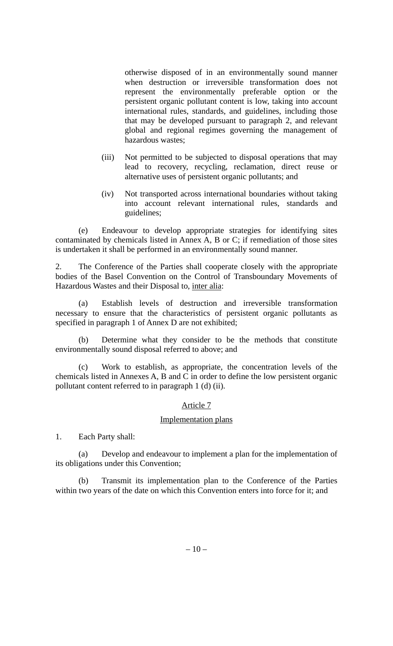otherwise disposed of in an environmentally sound manner when destruction or irreversible transformation does not represent the environmentally preferable option or the persistent organic pollutant content is low, taking into account international rules, standards, and guidelines, including those that may be developed pursuant to paragraph 2, and relevant global and regional regimes governing the management of hazardous wastes;

- (iii) Not permitted to be subjected to disposal operations that may lead to recovery, recycling, reclamation, direct reuse or alternative uses of persistent organic pollutants; and
- (iv) Not transported across international boundaries without taking into account relevant international rules, standards and guidelines;

 (e) Endeavour to develop appropriate strategies for identifying sites contaminated by chemicals listed in Annex A, B or C; if remediation of those sites is undertaken it shall be performed in an environmentally sound manner.

2. The Conference of the Parties shall cooperate closely with the appropriate bodies of the Basel Convention on the Control of Transboundary Movements of Hazardous Wastes and their Disposal to, inter alia:

 (a) Establish levels of destruction and irreversible transformation necessary to ensure that the characteristics of persistent organic pollutants as specified in paragraph 1 of Annex D are not exhibited;

Determine what they consider to be the methods that constitute environmentally sound disposal referred to above; and

 (c) Work to establish, as appropriate, the concentration levels of the chemicals listed in Annexes A, B and C in order to define the low persistent organic pollutant content referred to in paragraph 1 (d) (ii).

# Article 7

#### Implementation plans

1. Each Party shall:

 (a) Develop and endeavour to implement a plan for the implementation of its obligations under this Convention;

 (b) Transmit its implementation plan to the Conference of the Parties within two years of the date on which this Convention enters into force for it; and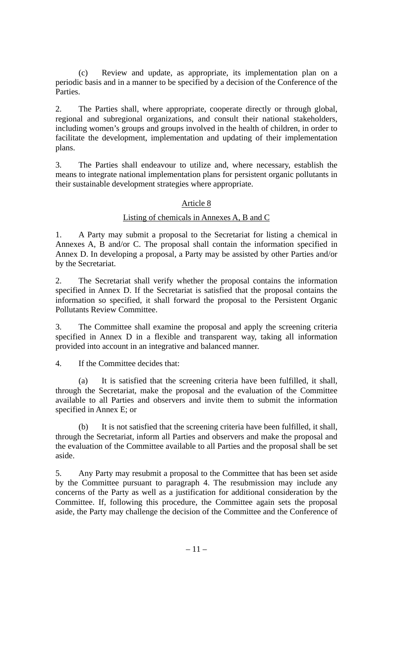(c) Review and update, as appropriate, its implementation plan on a periodic basis and in a manner to be specified by a decision of the Conference of the Parties.

2. The Parties shall, where appropriate, cooperate directly or through global, regional and subregional organizations, and consult their national stakeholders, including women's groups and groups involved in the health of children, in order to facilitate the development, implementation and updating of their implementation plans.

3. The Parties shall endeavour to utilize and, where necessary, establish the means to integrate national implementation plans for persistent organic pollutants in their sustainable development strategies where appropriate.

# Article 8

# Listing of chemicals in Annexes A, B and C

1. A Party may submit a proposal to the Secretariat for listing a chemical in Annexes A, B and/or C. The proposal shall contain the information specified in Annex D. In developing a proposal, a Party may be assisted by other Parties and/or by the Secretariat.

2. The Secretariat shall verify whether the proposal contains the information specified in Annex D. If the Secretariat is satisfied that the proposal contains the information so specified, it shall forward the proposal to the Persistent Organic Pollutants Review Committee.

3. The Committee shall examine the proposal and apply the screening criteria specified in Annex D in a flexible and transparent way, taking all information provided into account in an integrative and balanced manner.

4. If the Committee decides that:

 (a) It is satisfied that the screening criteria have been fulfilled, it shall, through the Secretariat, make the proposal and the evaluation of the Committee available to all Parties and observers and invite them to submit the information specified in Annex E; or

 (b) It is not satisfied that the screening criteria have been fulfilled, it shall, through the Secretariat, inform all Parties and observers and make the proposal and the evaluation of the Committee available to all Parties and the proposal shall be set aside.

5. Any Party may resubmit a proposal to the Committee that has been set aside by the Committee pursuant to paragraph 4. The resubmission may include any concerns of the Party as well as a justification for additional consideration by the Committee. If, following this procedure, the Committee again sets the proposal aside, the Party may challenge the decision of the Committee and the Conference of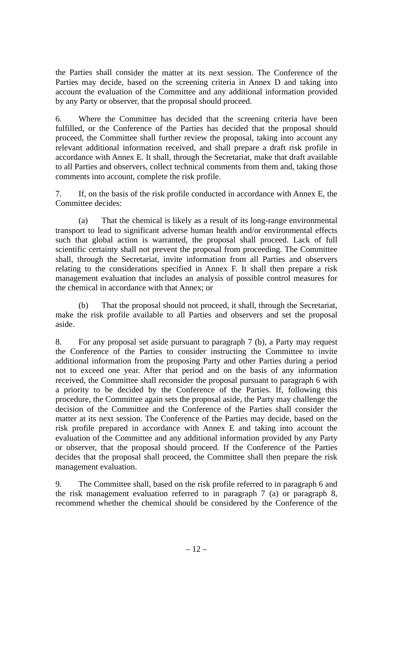the Parties shall consider the matter at its next session. The Conference of the Parties may decide, based on the screening criteria in Annex D and taking into account the evaluation of the Committee and any additional information provided by any Party or observer, that the proposal should proceed.

6. Where the Committee has decided that the screening criteria have been fulfilled, or the Conference of the Parties has decided that the proposal should proceed, the Committee shall further review the proposal, taking into account any relevant additional information received, and shall prepare a draft risk profile in accordance with Annex E. It shall, through the Secretariat, make that draft available to all Parties and observers, collect technical comments from them and, taking those comments into account, complete the risk profile.

7. If, on the basis of the risk profile conducted in accordance with Annex E, the Committee decides:

 (a) That the chemical is likely as a result of its long-range environmental transport to lead to significant adverse human health and/or environmental effects such that global action is warranted, the proposal shall proceed. Lack of full scientific certainty shall not prevent the proposal from proceeding. The Committee shall, through the Secretariat, invite information from all Parties and observers relating to the considerations specified in Annex F. It shall then prepare a risk management evaluation that includes an analysis of possible control measures for the chemical in accordance with that Annex; or

 (b) That the proposal should not proceed, it shall, through the Secretariat, make the risk profile available to all Parties and observers and set the proposal aside.

8. For any proposal set aside pursuant to paragraph 7 (b), a Party may request the Conference of the Parties to consider instructing the Committee to invite additional information from the proposing Party and other Parties during a period not to exceed one year. After that period and on the basis of any information received, the Committee shall reconsider the proposal pursuant to paragraph 6 with a priority to be decided by the Conference of the Parties. If, following this procedure, the Committee again sets the proposal aside, the Party may challenge the decision of the Committee and the Conference of the Parties shall consider the matter at its next session. The Conference of the Parties may decide, based on the risk profile prepared in accordance with Annex E and taking into account the evaluation of the Committee and any additional information provided by any Party or observer, that the proposal should proceed. If the Conference of the Parties decides that the proposal shall proceed, the Committee shall then prepare the risk management evaluation.

9. The Committee shall, based on the risk profile referred to in paragraph 6 and the risk management evaluation referred to in paragraph 7 (a) or paragraph 8, recommend whether the chemical should be considered by the Conference of the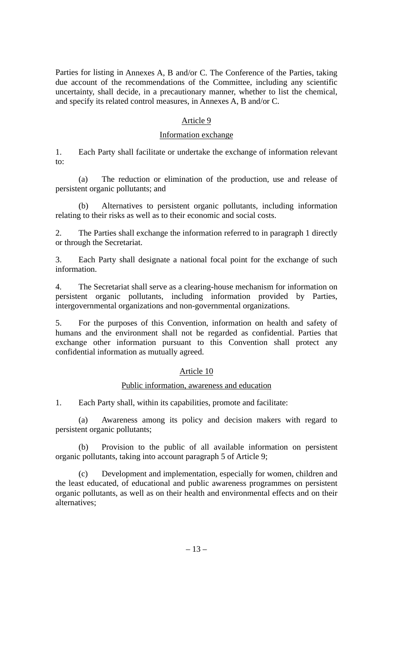Parties for listing in Annexes A, B and/or C. The Conference of the Parties, taking due account of the recommendations of the Committee, including any scientific uncertainty, shall decide, in a precautionary manner, whether to list the chemical, and specify its related control measures, in Annexes A, B and/or C.

# Article 9

#### Information exchange

1. Each Party shall facilitate or undertake the exchange of information relevant to:

 (a) The reduction or elimination of the production, use and release of persistent organic pollutants; and

 (b) Alternatives to persistent organic pollutants, including information relating to their risks as well as to their economic and social costs.

2. The Parties shall exchange the information referred to in paragraph 1 directly or through the Secretariat.

3. Each Party shall designate a national focal point for the exchange of such information.

4. The Secretariat shall serve as a clearing-house mechanism for information on persistent organic pollutants, including information provided by Parties, intergovernmental organizations and non-governmental organizations.

5. For the purposes of this Convention, information on health and safety of humans and the environment shall not be regarded as confidential. Parties that exchange other information pursuant to this Convention shall protect any confidential information as mutually agreed.

# Article 10

#### Public information, awareness and education

1. Each Party shall, within its capabilities, promote and facilitate:

 (a) Awareness among its policy and decision makers with regard to persistent organic pollutants;

 (b) Provision to the public of all available information on persistent organic pollutants, taking into account paragraph 5 of Article 9;

 (c) Development and implementation, especially for women, children and the least educated, of educational and public awareness programmes on persistent organic pollutants, as well as on their health and environmental effects and on their alternatives;

 $-13-$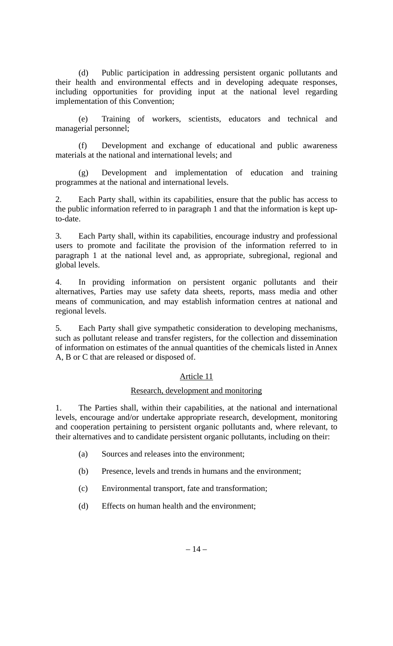(d) Public participation in addressing persistent organic pollutants and their health and environmental effects and in developing adequate responses, including opportunities for providing input at the national level regarding implementation of this Convention;

 (e) Training of workers, scientists, educators and technical and managerial personnel;

 (f) Development and exchange of educational and public awareness materials at the national and international levels; and

 (g) Development and implementation of education and training programmes at the national and international levels.

2. Each Party shall, within its capabilities, ensure that the public has access to the public information referred to in paragraph 1 and that the information is kept upto-date.

3. Each Party shall, within its capabilities, encourage industry and professional users to promote and facilitate the provision of the information referred to in paragraph 1 at the national level and, as appropriate, subregional, regional and global levels.

4. In providing information on persistent organic pollutants and their alternatives, Parties may use safety data sheets, reports, mass media and other means of communication, and may establish information centres at national and regional levels.

5. Each Party shall give sympathetic consideration to developing mechanisms, such as pollutant release and transfer registers, for the collection and dissemination of information on estimates of the annual quantities of the chemicals listed in Annex A, B or C that are released or disposed of.

# Article 11

#### Research, development and monitoring

1. The Parties shall, within their capabilities, at the national and international levels, encourage and/or undertake appropriate research, development, monitoring and cooperation pertaining to persistent organic pollutants and, where relevant, to their alternatives and to candidate persistent organic pollutants, including on their:

- (a) Sources and releases into the environment;
- (b) Presence, levels and trends in humans and the environment;
- (c) Environmental transport, fate and transformation;
- (d) Effects on human health and the environment;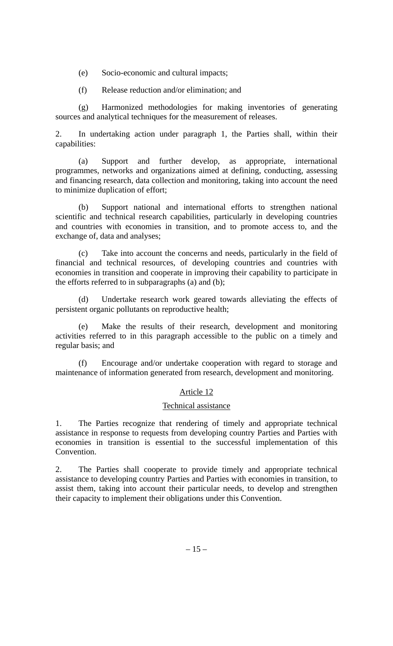(e) Socio-economic and cultural impacts;

(f) Release reduction and/or elimination; and

 (g) Harmonized methodologies for making inventories of generating sources and analytical techniques for the measurement of releases.

2. In undertaking action under paragraph 1, the Parties shall, within their capabilities:

 (a) Support and further develop, as appropriate, international programmes, networks and organizations aimed at defining, conducting, assessing and financing research, data collection and monitoring, taking into account the need to minimize duplication of effort;

 (b) Support national and international efforts to strengthen national scientific and technical research capabilities, particularly in developing countries and countries with economies in transition, and to promote access to, and the exchange of, data and analyses;

 (c) Take into account the concerns and needs, particularly in the field of financial and technical resources, of developing countries and countries with economies in transition and cooperate in improving their capability to participate in the efforts referred to in subparagraphs (a) and (b);

 (d) Undertake research work geared towards alleviating the effects of persistent organic pollutants on reproductive health;

 (e) Make the results of their research, development and monitoring activities referred to in this paragraph accessible to the public on a timely and regular basis; and

 (f) Encourage and/or undertake cooperation with regard to storage and maintenance of information generated from research, development and monitoring.

# Article 12

## Technical assistance

1. The Parties recognize that rendering of timely and appropriate technical assistance in response to requests from developing country Parties and Parties with economies in transition is essential to the successful implementation of this Convention.

2. The Parties shall cooperate to provide timely and appropriate technical assistance to developing country Parties and Parties with economies in transition, to assist them, taking into account their particular needs, to develop and strengthen their capacity to implement their obligations under this Convention.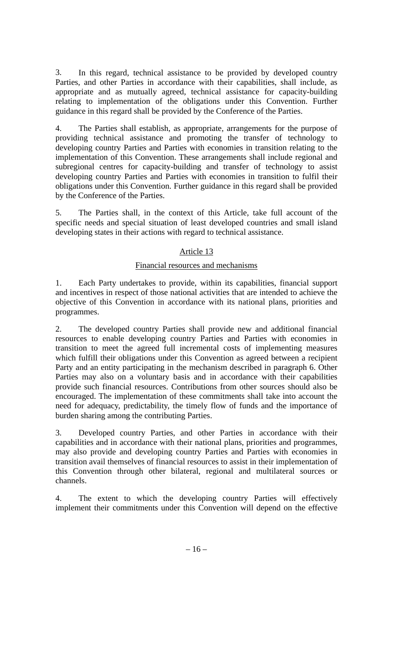3. In this regard, technical assistance to be provided by developed country Parties, and other Parties in accordance with their capabilities, shall include, as appropriate and as mutually agreed, technical assistance for capacity-building relating to implementation of the obligations under this Convention. Further guidance in this regard shall be provided by the Conference of the Parties.

4. The Parties shall establish, as appropriate, arrangements for the purpose of providing technical assistance and promoting the transfer of technology to developing country Parties and Parties with economies in transition relating to the implementation of this Convention. These arrangements shall include regional and subregional centres for capacity-building and transfer of technology to assist developing country Parties and Parties with economies in transition to fulfil their obligations under this Convention. Further guidance in this regard shall be provided by the Conference of the Parties.

5. The Parties shall, in the context of this Article, take full account of the specific needs and special situation of least developed countries and small island developing states in their actions with regard to technical assistance.

# Article 13

# Financial resources and mechanisms

1. Each Party undertakes to provide, within its capabilities, financial support and incentives in respect of those national activities that are intended to achieve the objective of this Convention in accordance with its national plans, priorities and programmes.

2. The developed country Parties shall provide new and additional financial resources to enable developing country Parties and Parties with economies in transition to meet the agreed full incremental costs of implementing measures which fulfill their obligations under this Convention as agreed between a recipient Party and an entity participating in the mechanism described in paragraph 6. Other Parties may also on a voluntary basis and in accordance with their capabilities provide such financial resources. Contributions from other sources should also be encouraged. The implementation of these commitments shall take into account the need for adequacy, predictability, the timely flow of funds and the importance of burden sharing among the contributing Parties.

3. Developed country Parties, and other Parties in accordance with their capabilities and in accordance with their national plans, priorities and programmes, may also provide and developing country Parties and Parties with economies in transition avail themselves of financial resources to assist in their implementation of this Convention through other bilateral, regional and multilateral sources or channels.

4. The extent to which the developing country Parties will effectively implement their commitments under this Convention will depend on the effective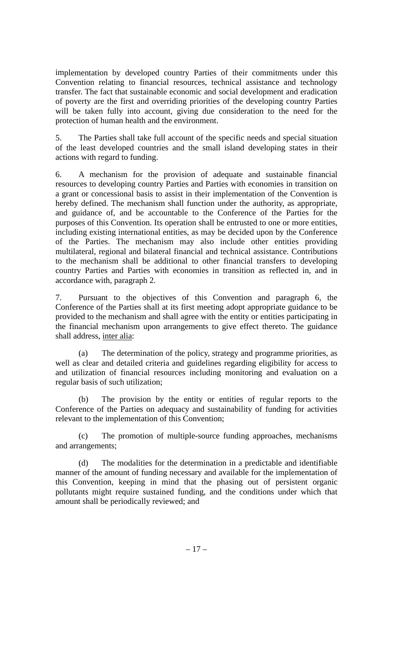implementation by developed country Parties of their commitments under this Convention relating to financial resources, technical assistance and technology transfer. The fact that sustainable economic and social development and eradication of poverty are the first and overriding priorities of the developing country Parties will be taken fully into account, giving due consideration to the need for the protection of human health and the environment.

5. The Parties shall take full account of the specific needs and special situation of the least developed countries and the small island developing states in their actions with regard to funding.

6. A mechanism for the provision of adequate and sustainable financial resources to developing country Parties and Parties with economies in transition on a grant or concessional basis to assist in their implementation of the Convention is hereby defined. The mechanism shall function under the authority, as appropriate, and guidance of, and be accountable to the Conference of the Parties for the purposes of this Convention. Its operation shall be entrusted to one or more entities, including existing international entities, as may be decided upon by the Conference of the Parties. The mechanism may also include other entities providing multilateral, regional and bilateral financial and technical assistance. Contributions to the mechanism shall be additional to other financial transfers to developing country Parties and Parties with economies in transition as reflected in, and in accordance with, paragraph 2.

7. Pursuant to the objectives of this Convention and paragraph 6, the Conference of the Parties shall at its first meeting adopt appropriate guidance to be provided to the mechanism and shall agree with the entity or entities participating in the financial mechanism upon arrangements to give effect thereto. The guidance shall address, inter alia:

 (a) The determination of the policy, strategy and programme priorities, as well as clear and detailed criteria and guidelines regarding eligibility for access to and utilization of financial resources including monitoring and evaluation on a regular basis of such utilization;

 (b) The provision by the entity or entities of regular reports to the Conference of the Parties on adequacy and sustainability of funding for activities relevant to the implementation of this Convention;

 (c) The promotion of multiple-source funding approaches, mechanisms and arrangements;

 (d) The modalities for the determination in a predictable and identifiable manner of the amount of funding necessary and available for the implementation of this Convention, keeping in mind that the phasing out of persistent organic pollutants might require sustained funding, and the conditions under which that amount shall be periodically reviewed; and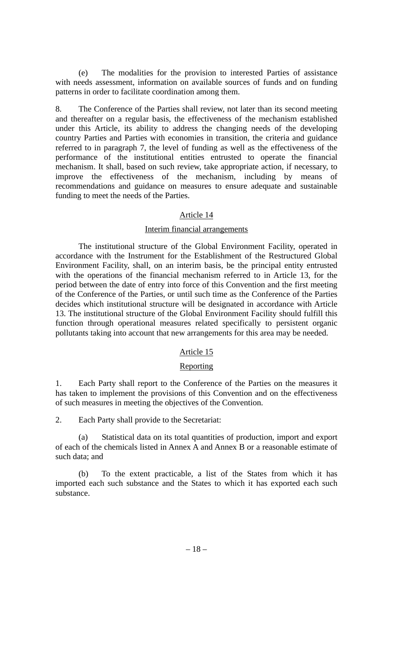(e) The modalities for the provision to interested Parties of assistance with needs assessment, information on available sources of funds and on funding patterns in order to facilitate coordination among them.

8. The Conference of the Parties shall review, not later than its second meeting and thereafter on a regular basis, the effectiveness of the mechanism established under this Article, its ability to address the changing needs of the developing country Parties and Parties with economies in transition, the criteria and guidance referred to in paragraph 7, the level of funding as well as the effectiveness of the performance of the institutional entities entrusted to operate the financial mechanism. It shall, based on such review, take appropriate action, if necessary, to improve the effectiveness of the mechanism, including by means of recommendations and guidance on measures to ensure adequate and sustainable funding to meet the needs of the Parties.

#### Article 14

## Interim financial arrangements

 The institutional structure of the Global Environment Facility, operated in accordance with the Instrument for the Establishment of the Restructured Global Environment Facility, shall, on an interim basis, be the principal entity entrusted with the operations of the financial mechanism referred to in Article 13, for the period between the date of entry into force of this Convention and the first meeting of the Conference of the Parties, or until such time as the Conference of the Parties decides which institutional structure will be designated in accordance with Article 13. The institutional structure of the Global Environment Facility should fulfill this function through operational measures related specifically to persistent organic pollutants taking into account that new arrangements for this area may be needed.

## Article 15

#### Reporting

1. Each Party shall report to the Conference of the Parties on the measures it has taken to implement the provisions of this Convention and on the effectiveness of such measures in meeting the objectives of the Convention.

2. Each Party shall provide to the Secretariat:

 (a) Statistical data on its total quantities of production, import and export of each of the chemicals listed in Annex A and Annex B or a reasonable estimate of such data; and

 (b) To the extent practicable, a list of the States from which it has imported each such substance and the States to which it has exported each such substance.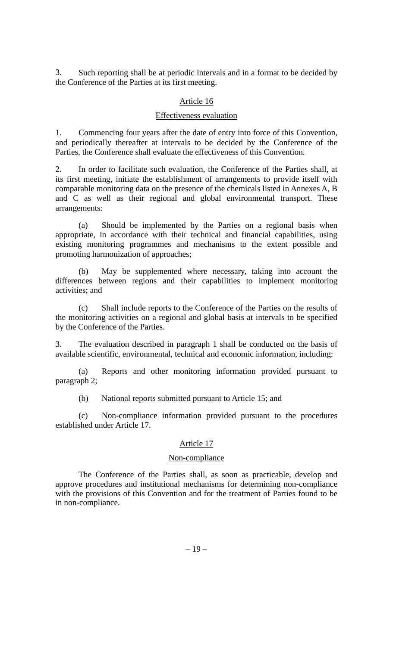3. Such reporting shall be at periodic intervals and in a format to be decided by the Conference of the Parties at its first meeting.

#### Article 16

#### Effectiveness evaluation

1. Commencing four years after the date of entry into force of this Convention, and periodically thereafter at intervals to be decided by the Conference of the Parties, the Conference shall evaluate the effectiveness of this Convention.

2. In order to facilitate such evaluation, the Conference of the Parties shall, at its first meeting, initiate the establishment of arrangements to provide itself with comparable monitoring data on the presence of the chemicals listed in Annexes A, B and C as well as their regional and global environmental transport. These arrangements:

 (a) Should be implemented by the Parties on a regional basis when appropriate, in accordance with their technical and financial capabilities, using existing monitoring programmes and mechanisms to the extent possible and promoting harmonization of approaches;

 (b) May be supplemented where necessary, taking into account the differences between regions and their capabilities to implement monitoring activities; and

 (c) Shall include reports to the Conference of the Parties on the results of the monitoring activities on a regional and global basis at intervals to be specified by the Conference of the Parties.

3. The evaluation described in paragraph 1 shall be conducted on the basis of available scientific, environmental, technical and economic information, including:

 (a) Reports and other monitoring information provided pursuant to paragraph 2;

(b) National reports submitted pursuant to Article 15; and

 (c) Non-compliance information provided pursuant to the procedures established under Article 17.

#### Article 17

#### Non-compliance

 The Conference of the Parties shall, as soon as practicable, develop and approve procedures and institutional mechanisms for determining non-compliance with the provisions of this Convention and for the treatment of Parties found to be in non-compliance.

– 19 –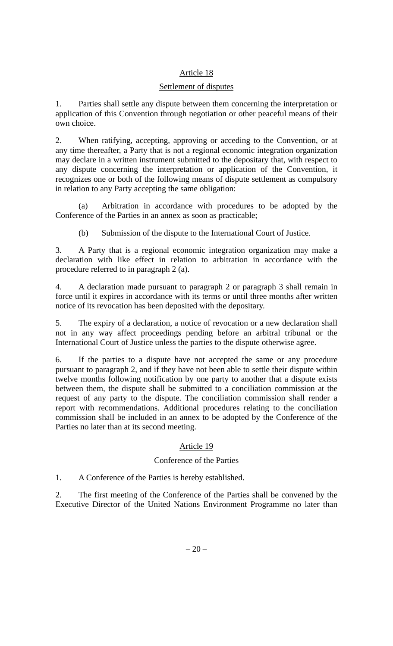# Article 18

# Settlement of disputes

1. Parties shall settle any dispute between them concerning the interpretation or application of this Convention through negotiation or other peaceful means of their own choice.

2. When ratifying, accepting, approving or acceding to the Convention, or at any time thereafter, a Party that is not a regional economic integration organization may declare in a written instrument submitted to the depositary that, with respect to any dispute concerning the interpretation or application of the Convention, it recognizes one or both of the following means of dispute settlement as compulsory in relation to any Party accepting the same obligation:

 (a) Arbitration in accordance with procedures to be adopted by the Conference of the Parties in an annex as soon as practicable;

(b) Submission of the dispute to the International Court of Justice.

3. A Party that is a regional economic integration organization may make a declaration with like effect in relation to arbitration in accordance with the procedure referred to in paragraph 2 (a).

4. A declaration made pursuant to paragraph 2 or paragraph 3 shall remain in force until it expires in accordance with its terms or until three months after written notice of its revocation has been deposited with the depositary.

5. The expiry of a declaration, a notice of revocation or a new declaration shall not in any way affect proceedings pending before an arbitral tribunal or the International Court of Justice unless the parties to the dispute otherwise agree.

6. If the parties to a dispute have not accepted the same or any procedure pursuant to paragraph 2, and if they have not been able to settle their dispute within twelve months following notification by one party to another that a dispute exists between them, the dispute shall be submitted to a conciliation commission at the request of any party to the dispute. The conciliation commission shall render a report with recommendations. Additional procedures relating to the conciliation commission shall be included in an annex to be adopted by the Conference of the Parties no later than at its second meeting.

# Article 19

# Conference of the Parties

1. A Conference of the Parties is hereby established.

2. The first meeting of the Conference of the Parties shall be convened by the Executive Director of the United Nations Environment Programme no later than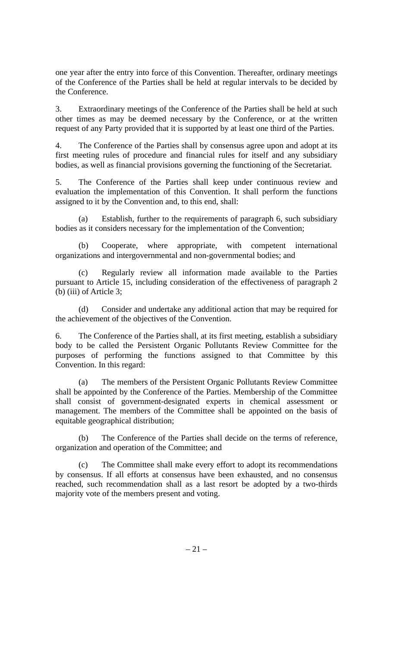one year after the entry into force of this Convention. Thereafter, ordinary meetings of the Conference of the Parties shall be held at regular intervals to be decided by the Conference.

3. Extraordinary meetings of the Conference of the Parties shall be held at such other times as may be deemed necessary by the Conference, or at the written request of any Party provided that it is supported by at least one third of the Parties.

4. The Conference of the Parties shall by consensus agree upon and adopt at its first meeting rules of procedure and financial rules for itself and any subsidiary bodies, as well as financial provisions governing the functioning of the Secretariat.

5. The Conference of the Parties shall keep under continuous review and evaluation the implementation of this Convention. It shall perform the functions assigned to it by the Convention and, to this end, shall:

 (a) Establish, further to the requirements of paragraph 6, such subsidiary bodies as it considers necessary for the implementation of the Convention;

 (b) Cooperate, where appropriate, with competent international organizations and intergovernmental and non-governmental bodies; and

 (c) Regularly review all information made available to the Parties pursuant to Article 15, including consideration of the effectiveness of paragraph 2 (b) (iii) of Article 3;

 (d) Consider and undertake any additional action that may be required for the achievement of the objectives of the Convention.

6. The Conference of the Parties shall, at its first meeting, establish a subsidiary body to be called the Persistent Organic Pollutants Review Committee for the purposes of performing the functions assigned to that Committee by this Convention. In this regard:

 (a) The members of the Persistent Organic Pollutants Review Committee shall be appointed by the Conference of the Parties. Membership of the Committee shall consist of government-designated experts in chemical assessment or management. The members of the Committee shall be appointed on the basis of equitable geographical distribution;

 (b) The Conference of the Parties shall decide on the terms of reference, organization and operation of the Committee; and

 (c) The Committee shall make every effort to adopt its recommendations by consensus. If all efforts at consensus have been exhausted, and no consensus reached, such recommendation shall as a last resort be adopted by a two-thirds majority vote of the members present and voting.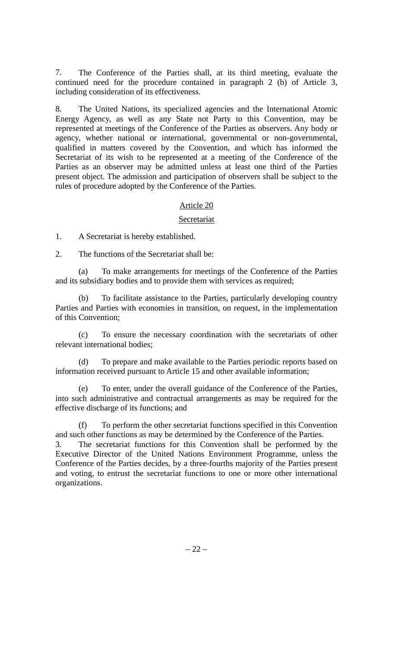7. The Conference of the Parties shall, at its third meeting, evaluate the continued need for the procedure contained in paragraph 2 (b) of Article 3, including consideration of its effectiveness.

8. The United Nations, its specialized agencies and the International Atomic Energy Agency, as well as any State not Party to this Convention, may be represented at meetings of the Conference of the Parties as observers. Any body or agency, whether national or international, governmental or non-governmental, qualified in matters covered by the Convention, and which has informed the Secretariat of its wish to be represented at a meeting of the Conference of the Parties as an observer may be admitted unless at least one third of the Parties present object. The admission and participation of observers shall be subject to the rules of procedure adopted by the Conference of the Parties.

#### Article 20

#### Secretariat

1. A Secretariat is hereby established.

2. The functions of the Secretariat shall be:

 (a) To make arrangements for meetings of the Conference of the Parties and its subsidiary bodies and to provide them with services as required;

 (b) To facilitate assistance to the Parties, particularly developing country Parties and Parties with economies in transition, on request, in the implementation of this Convention;

 (c) To ensure the necessary coordination with the secretariats of other relevant international bodies;

 (d) To prepare and make available to the Parties periodic reports based on information received pursuant to Article 15 and other available information;

 (e) To enter, under the overall guidance of the Conference of the Parties, into such administrative and contractual arrangements as may be required for the effective discharge of its functions; and

 (f) To perform the other secretariat functions specified in this Convention and such other functions as may be determined by the Conference of the Parties.

3. The secretariat functions for this Convention shall be performed by the Executive Director of the United Nations Environment Programme, unless the Conference of the Parties decides, by a three-fourths majority of the Parties present and voting, to entrust the secretariat functions to one or more other international organizations.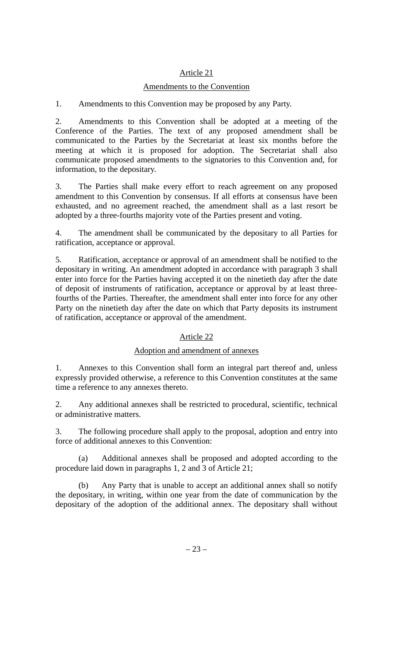# Article 21

# Amendments to the Convention

1. Amendments to this Convention may be proposed by any Party.

2. Amendments to this Convention shall be adopted at a meeting of the Conference of the Parties. The text of any proposed amendment shall be communicated to the Parties by the Secretariat at least six months before the meeting at which it is proposed for adoption. The Secretariat shall also communicate proposed amendments to the signatories to this Convention and, for information, to the depositary.

3. The Parties shall make every effort to reach agreement on any proposed amendment to this Convention by consensus. If all efforts at consensus have been exhausted, and no agreement reached, the amendment shall as a last resort be adopted by a three-fourths majority vote of the Parties present and voting.

4. The amendment shall be communicated by the depositary to all Parties for ratification, acceptance or approval.

5. Ratification, acceptance or approval of an amendment shall be notified to the depositary in writing. An amendment adopted in accordance with paragraph 3 shall enter into force for the Parties having accepted it on the ninetieth day after the date of deposit of instruments of ratification, acceptance or approval by at least threefourths of the Parties. Thereafter, the amendment shall enter into force for any other Party on the ninetieth day after the date on which that Party deposits its instrument of ratification, acceptance or approval of the amendment.

# Article 22

# Adoption and amendment of annexes

1. Annexes to this Convention shall form an integral part thereof and, unless expressly provided otherwise, a reference to this Convention constitutes at the same time a reference to any annexes thereto.

2. Any additional annexes shall be restricted to procedural, scientific, technical or administrative matters.

3. The following procedure shall apply to the proposal, adoption and entry into force of additional annexes to this Convention:

 (a) Additional annexes shall be proposed and adopted according to the procedure laid down in paragraphs 1, 2 and 3 of Article 21;

 (b) Any Party that is unable to accept an additional annex shall so notify the depositary, in writing, within one year from the date of communication by the depositary of the adoption of the additional annex. The depositary shall without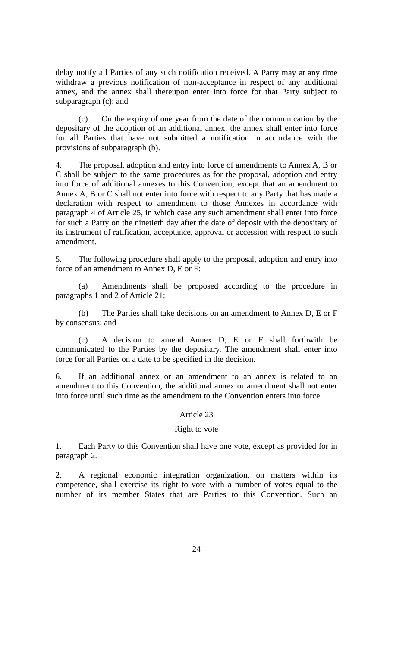delay notify all Parties of any such notification received. A Party may at any time withdraw a previous notification of non-acceptance in respect of any additional annex, and the annex shall thereupon enter into force for that Party subject to subparagraph (c); and

 (c) On the expiry of one year from the date of the communication by the depositary of the adoption of an additional annex, the annex shall enter into force for all Parties that have not submitted a notification in accordance with the provisions of subparagraph (b).

4. The proposal, adoption and entry into force of amendments to Annex A, B or C shall be subject to the same procedures as for the proposal, adoption and entry into force of additional annexes to this Convention, except that an amendment to Annex A, B or C shall not enter into force with respect to any Party that has made a declaration with respect to amendment to those Annexes in accordance with paragraph 4 of Article 25, in which case any such amendment shall enter into force for such a Party on the ninetieth day after the date of deposit with the depositary of its instrument of ratification, acceptance, approval or accession with respect to such amendment.

5. The following procedure shall apply to the proposal, adoption and entry into force of an amendment to Annex D, E or F:

 (a) Amendments shall be proposed according to the procedure in paragraphs 1 and 2 of Article 21;

 (b) The Parties shall take decisions on an amendment to Annex D, E or F by consensus; and

 (c) A decision to amend Annex D, E or F shall forthwith be communicated to the Parties by the depositary. The amendment shall enter into force for all Parties on a date to be specified in the decision.

6. If an additional annex or an amendment to an annex is related to an amendment to this Convention, the additional annex or amendment shall not enter into force until such time as the amendment to the Convention enters into force.

# Article 23

#### Right to vote

1. Each Party to this Convention shall have one vote, except as provided for in paragraph 2.

2. A regional economic integration organization, on matters within its competence, shall exercise its right to vote with a number of votes equal to the number of its member States that are Parties to this Convention. Such an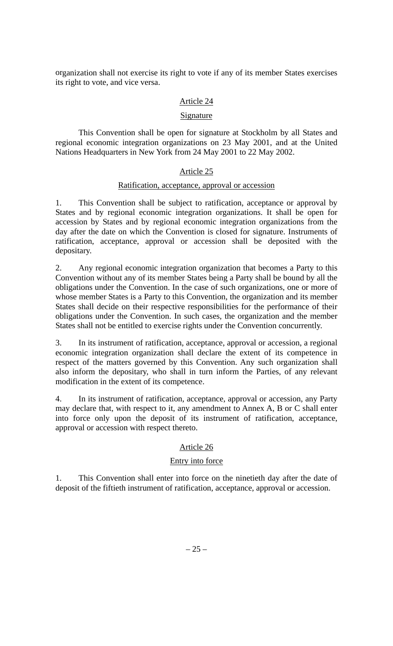organization shall not exercise its right to vote if any of its member States exercises its right to vote, and vice versa.

## Article 24

## Signature

 This Convention shall be open for signature at Stockholm by all States and regional economic integration organizations on 23 May 2001, and at the United Nations Headquarters in New York from 24 May 2001 to 22 May 2002.

## Article 25

#### Ratification, acceptance, approval or accession

1. This Convention shall be subject to ratification, acceptance or approval by States and by regional economic integration organizations. It shall be open for accession by States and by regional economic integration organizations from the day after the date on which the Convention is closed for signature. Instruments of ratification, acceptance, approval or accession shall be deposited with the depositary.

2. Any regional economic integration organization that becomes a Party to this Convention without any of its member States being a Party shall be bound by all the obligations under the Convention. In the case of such organizations, one or more of whose member States is a Party to this Convention, the organization and its member States shall decide on their respective responsibilities for the performance of their obligations under the Convention. In such cases, the organization and the member States shall not be entitled to exercise rights under the Convention concurrently.

3. In its instrument of ratification, acceptance, approval or accession, a regional economic integration organization shall declare the extent of its competence in respect of the matters governed by this Convention. Any such organization shall also inform the depositary, who shall in turn inform the Parties, of any relevant modification in the extent of its competence.

4. In its instrument of ratification, acceptance, approval or accession, any Party may declare that, with respect to it, any amendment to Annex A, B or C shall enter into force only upon the deposit of its instrument of ratification, acceptance, approval or accession with respect thereto.

# Article 26

#### Entry into force

1. This Convention shall enter into force on the ninetieth day after the date of deposit of the fiftieth instrument of ratification, acceptance, approval or accession.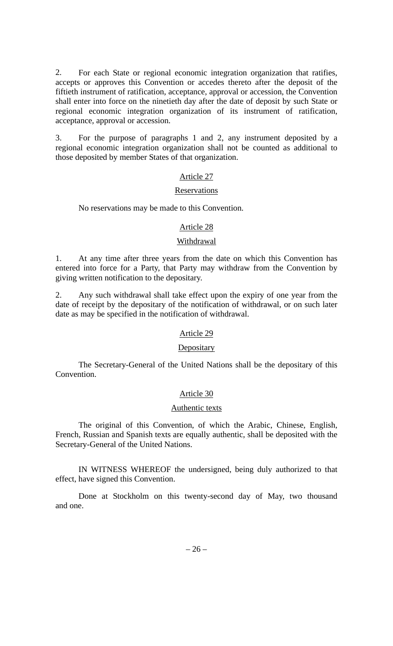2. For each State or regional economic integration organization that ratifies, accepts or approves this Convention or accedes thereto after the deposit of the fiftieth instrument of ratification, acceptance, approval or accession, the Convention shall enter into force on the ninetieth day after the date of deposit by such State or regional economic integration organization of its instrument of ratification, acceptance, approval or accession.

3. For the purpose of paragraphs 1 and 2, any instrument deposited by a regional economic integration organization shall not be counted as additional to those deposited by member States of that organization.

#### Article 27

#### Reservations

No reservations may be made to this Convention.

#### Article 28

## Withdrawal

1. At any time after three years from the date on which this Convention has entered into force for a Party, that Party may withdraw from the Convention by giving written notification to the depositary.

2. Any such withdrawal shall take effect upon the expiry of one year from the date of receipt by the depositary of the notification of withdrawal, or on such later date as may be specified in the notification of withdrawal.

#### Article 29

## **Depositary**

 The Secretary-General of the United Nations shall be the depositary of this Convention.

#### Article 30

#### Authentic texts

 The original of this Convention, of which the Arabic, Chinese, English, French, Russian and Spanish texts are equally authentic, shall be deposited with the Secretary-General of the United Nations.

 IN WITNESS WHEREOF the undersigned, being duly authorized to that effect, have signed this Convention.

 Done at Stockholm on this twenty-second day of May, two thousand and one.

 $-26-$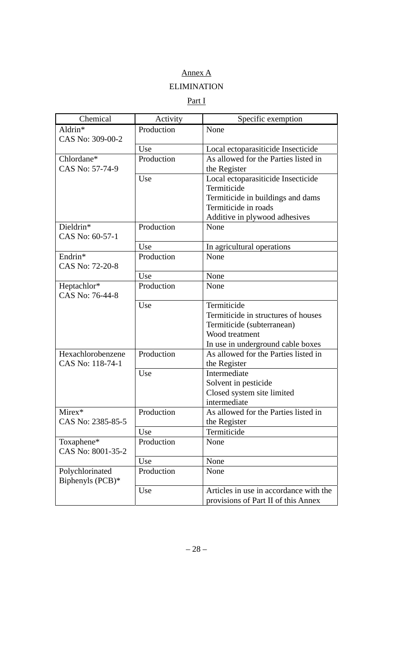# Annex A ELIMINATION

Part I

| Chemical                            | Activity          | Specific exemption                     |
|-------------------------------------|-------------------|----------------------------------------|
| Aldrin*                             | Production        | None                                   |
| CAS No: 309-00-2                    |                   |                                        |
|                                     | Use               | Local ectoparasiticide Insecticide     |
| Chlordane*                          | Production        | As allowed for the Parties listed in   |
| CAS No: 57-74-9                     |                   | the Register                           |
|                                     | Use               | Local ectoparasiticide Insecticide     |
|                                     |                   | Termiticide                            |
|                                     |                   | Termiticide in buildings and dams      |
|                                     |                   | Termiticide in roads                   |
|                                     |                   | Additive in plywood adhesives          |
| Dieldrin*                           | Production        | None                                   |
| CAS No: 60-57-1                     |                   |                                        |
|                                     | Use               | In agricultural operations             |
| Endrin*                             | Production        | None                                   |
| CAS No: 72-20-8                     |                   |                                        |
|                                     | Use               | None                                   |
| Heptachlor*                         | Production        | None                                   |
| CAS No: 76-44-8                     |                   |                                        |
|                                     | Use               | Termiticide                            |
|                                     |                   | Termiticide in structures of houses    |
|                                     |                   | Termiticide (subterranean)             |
|                                     |                   | Wood treatment                         |
|                                     |                   | In use in underground cable boxes      |
| Hexachlorobenzene                   | Production        | As allowed for the Parties listed in   |
| CAS No: 118-74-1                    |                   | the Register                           |
|                                     | Use               | Intermediate                           |
|                                     |                   | Solvent in pesticide                   |
|                                     |                   | Closed system site limited             |
|                                     |                   | intermediate                           |
| $Mirex*$                            | Production        | As allowed for the Parties listed in   |
| CAS No: 2385-85-5                   |                   | the Register                           |
|                                     | Use               | Termiticide                            |
| Toxaphene*<br>CAS No: 8001-35-2     | Production        | None                                   |
|                                     |                   |                                        |
|                                     | Use<br>Production | None<br>None                           |
| Polychlorinated<br>Biphenyls (PCB)* |                   |                                        |
|                                     | Use               | Articles in use in accordance with the |
|                                     |                   | provisions of Part II of this Annex    |
|                                     |                   |                                        |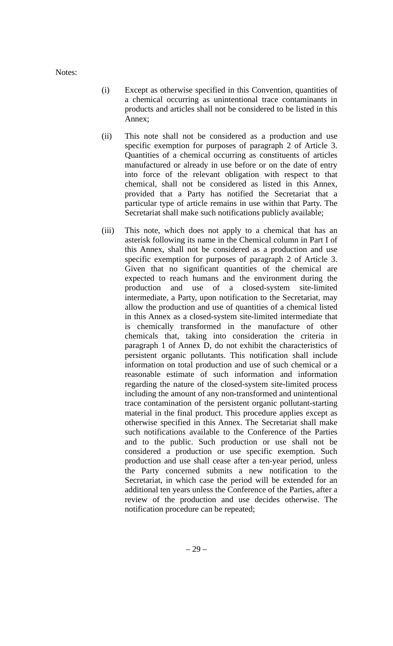Notes:

- (i) Except as otherwise specified in this Convention, quantities of a chemical occurring as unintentional trace contaminants in products and articles shall not be considered to be listed in this Annex;
- (ii) This note shall not be considered as a production and use specific exemption for purposes of paragraph 2 of Article 3. Quantities of a chemical occurring as constituents of articles manufactured or already in use before or on the date of entry into force of the relevant obligation with respect to that chemical, shall not be considered as listed in this Annex, provided that a Party has notified the Secretariat that a particular type of article remains in use within that Party. The Secretariat shall make such notifications publicly available;
- (iii) This note, which does not apply to a chemical that has an asterisk following its name in the Chemical column in Part I of this Annex, shall not be considered as a production and use specific exemption for purposes of paragraph 2 of Article 3. Given that no significant quantities of the chemical are expected to reach humans and the environment during the production and use of a closed-system site-limited intermediate, a Party, upon notification to the Secretariat, may allow the production and use of quantities of a chemical listed in this Annex as a closed-system site-limited intermediate that is chemically transformed in the manufacture of other chemicals that, taking into consideration the criteria in paragraph 1 of Annex D, do not exhibit the characteristics of persistent organic pollutants. This notification shall include information on total production and use of such chemical or a reasonable estimate of such information and information regarding the nature of the closed-system site-limited process including the amount of any non-transformed and unintentional trace contamination of the persistent organic pollutant-starting material in the final product. This procedure applies except as otherwise specified in this Annex. The Secretariat shall make such notifications available to the Conference of the Parties and to the public. Such production or use shall not be considered a production or use specific exemption. Such production and use shall cease after a ten-year period, unless the Party concerned submits a new notification to the Secretariat, in which case the period will be extended for an additional ten years unless the Conference of the Parties, after a review of the production and use decides otherwise. The notification procedure can be repeated;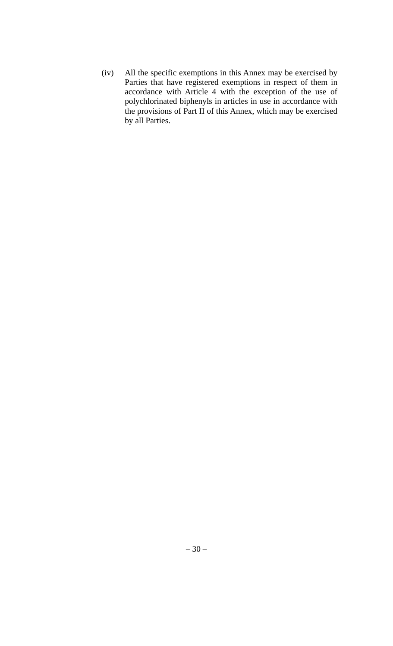(iv) All the specific exemptions in this Annex may be exercised by Parties that have registered exemptions in respect of them in accordance with Article 4 with the exception of the use of polychlorinated biphenyls in articles in use in accordance with the provisions of Part II of this Annex, which may be exercised by all Parties.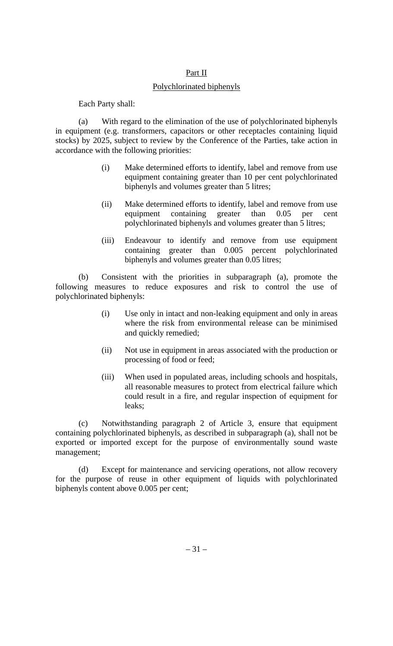# Part II

#### Polychlorinated biphenyls

Each Party shall:

 (a) With regard to the elimination of the use of polychlorinated biphenyls in equipment (e.g. transformers, capacitors or other receptacles containing liquid stocks) by 2025, subject to review by the Conference of the Parties, take action in accordance with the following priorities:

- (i) Make determined efforts to identify, label and remove from use equipment containing greater than 10 per cent polychlorinated biphenyls and volumes greater than 5 litres;
- (ii) Make determined efforts to identify, label and remove from use equipment containing greater than 0.05 per cent polychlorinated biphenyls and volumes greater than 5 litres;
- (iii) Endeavour to identify and remove from use equipment containing greater than 0.005 percent polychlorinated biphenyls and volumes greater than 0.05 litres;

 (b) Consistent with the priorities in subparagraph (a), promote the following measures to reduce exposures and risk to control the use of polychlorinated biphenyls:

- (i) Use only in intact and non-leaking equipment and only in areas where the risk from environmental release can be minimised and quickly remedied;
- (ii) Not use in equipment in areas associated with the production or processing of food or feed;
- (iii) When used in populated areas, including schools and hospitals, all reasonable measures to protect from electrical failure which could result in a fire, and regular inspection of equipment for leaks;

 (c) Notwithstanding paragraph 2 of Article 3, ensure that equipment containing polychlorinated biphenyls, as described in subparagraph (a), shall not be exported or imported except for the purpose of environmentally sound waste management;

 (d) Except for maintenance and servicing operations, not allow recovery for the purpose of reuse in other equipment of liquids with polychlorinated biphenyls content above 0.005 per cent;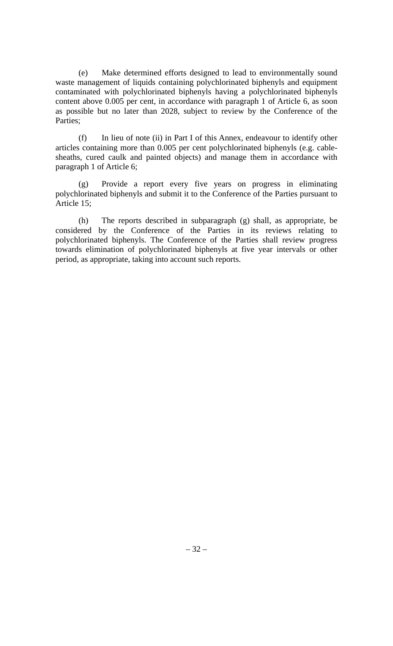(e) Make determined efforts designed to lead to environmentally sound waste management of liquids containing polychlorinated biphenyls and equipment contaminated with polychlorinated biphenyls having a polychlorinated biphenyls content above 0.005 per cent, in accordance with paragraph 1 of Article 6, as soon as possible but no later than 2028, subject to review by the Conference of the Parties;

 (f) In lieu of note (ii) in Part I of this Annex, endeavour to identify other articles containing more than 0.005 per cent polychlorinated biphenyls (e.g. cablesheaths, cured caulk and painted objects) and manage them in accordance with paragraph 1 of Article 6;

 (g) Provide a report every five years on progress in eliminating polychlorinated biphenyls and submit it to the Conference of the Parties pursuant to Article 15;

 (h) The reports described in subparagraph (g) shall, as appropriate, be considered by the Conference of the Parties in its reviews relating to polychlorinated biphenyls. The Conference of the Parties shall review progress towards elimination of polychlorinated biphenyls at five year intervals or other period, as appropriate, taking into account such reports.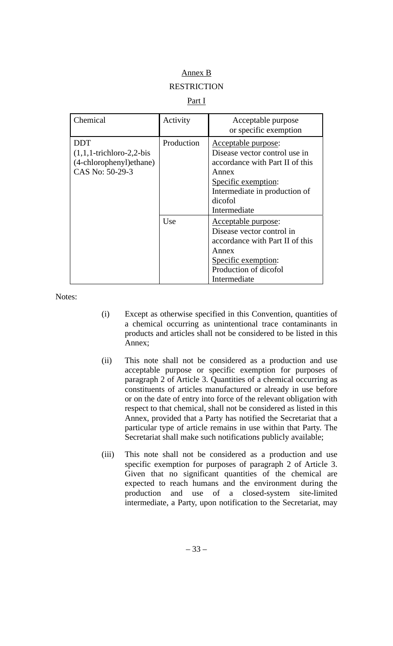# Annex B **RESTRICTION**

Part I

| Chemical                                                                                 | Activity   | Acceptable purpose<br>or specific exemption                                                                                                                                         |
|------------------------------------------------------------------------------------------|------------|-------------------------------------------------------------------------------------------------------------------------------------------------------------------------------------|
| <b>DDT</b><br>$(1,1,1$ -trichloro-2,2-bis<br>(4-chlorophenyl) ethane)<br>CAS No: 50-29-3 | Production | Acceptable purpose:<br>Disease vector control use in<br>accordance with Part II of this<br>Annex<br>Specific exemption:<br>Intermediate in production of<br>dicofol<br>Intermediate |
|                                                                                          | Use        | Acceptable purpose:<br>Disease vector control in<br>accordance with Part II of this<br>Annex<br>Specific exemption:<br>Production of dicofol<br>Intermediate                        |

Notes:

- (i) Except as otherwise specified in this Convention, quantities of a chemical occurring as unintentional trace contaminants in products and articles shall not be considered to be listed in this Annex;
- (ii) This note shall not be considered as a production and use acceptable purpose or specific exemption for purposes of paragraph 2 of Article 3. Quantities of a chemical occurring as constituents of articles manufactured or already in use before or on the date of entry into force of the relevant obligation with respect to that chemical, shall not be considered as listed in this Annex, provided that a Party has notified the Secretariat that a particular type of article remains in use within that Party. The Secretariat shall make such notifications publicly available;
- (iii) This note shall not be considered as a production and use specific exemption for purposes of paragraph 2 of Article 3. Given that no significant quantities of the chemical are expected to reach humans and the environment during the production and use of a closed-system site-limited intermediate, a Party, upon notification to the Secretariat, may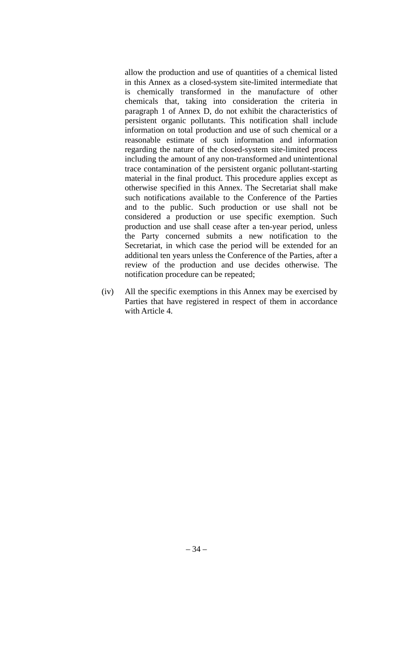allow the production and use of quantities of a chemical listed in this Annex as a closed-system site-limited intermediate that is chemically transformed in the manufacture of other chemicals that, taking into consideration the criteria in paragraph 1 of Annex D, do not exhibit the characteristics of persistent organic pollutants. This notification shall include information on total production and use of such chemical or a reasonable estimate of such information and information regarding the nature of the closed-system site-limited process including the amount of any non-transformed and unintentional trace contamination of the persistent organic pollutant-starting material in the final product. This procedure applies except as otherwise specified in this Annex. The Secretariat shall make such notifications available to the Conference of the Parties and to the public. Such production or use shall not be considered a production or use specific exemption. Such production and use shall cease after a ten-year period, unless the Party concerned submits a new notification to the Secretariat, in which case the period will be extended for an additional ten years unless the Conference of the Parties, after a review of the production and use decides otherwise. The notification procedure can be repeated;

(iv) All the specific exemptions in this Annex may be exercised by Parties that have registered in respect of them in accordance with Article 4.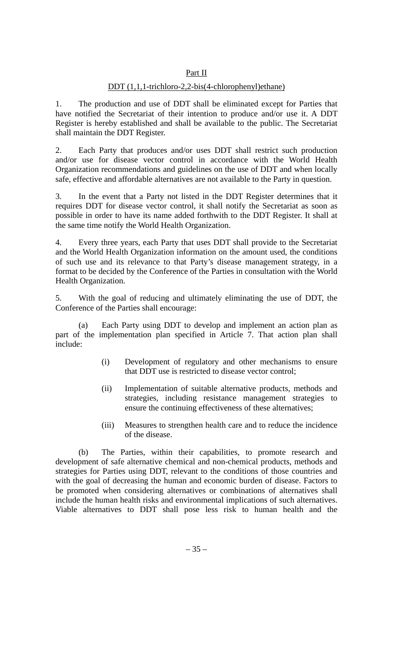# Part II

# DDT (1,1,1-trichloro-2,2-bis(4-chlorophenyl)ethane)

1. The production and use of DDT shall be eliminated except for Parties that have notified the Secretariat of their intention to produce and/or use it. A DDT Register is hereby established and shall be available to the public. The Secretariat shall maintain the DDT Register.

2. Each Party that produces and/or uses DDT shall restrict such production and/or use for disease vector control in accordance with the World Health Organization recommendations and guidelines on the use of DDT and when locally safe, effective and affordable alternatives are not available to the Party in question.

3. In the event that a Party not listed in the DDT Register determines that it requires DDT for disease vector control, it shall notify the Secretariat as soon as possible in order to have its name added forthwith to the DDT Register. It shall at the same time notify the World Health Organization.

4. Every three years, each Party that uses DDT shall provide to the Secretariat and the World Health Organization information on the amount used, the conditions of such use and its relevance to that Party's disease management strategy, in a format to be decided by the Conference of the Parties in consultation with the World Health Organization.

5. With the goal of reducing and ultimately eliminating the use of DDT, the Conference of the Parties shall encourage:

 (a) Each Party using DDT to develop and implement an action plan as part of the implementation plan specified in Article 7. That action plan shall include:

- (i) Development of regulatory and other mechanisms to ensure that DDT use is restricted to disease vector control;
- (ii) Implementation of suitable alternative products, methods and strategies, including resistance management strategies to ensure the continuing effectiveness of these alternatives;
- (iii) Measures to strengthen health care and to reduce the incidence of the disease.

 (b) The Parties, within their capabilities, to promote research and development of safe alternative chemical and non-chemical products, methods and strategies for Parties using DDT, relevant to the conditions of those countries and with the goal of decreasing the human and economic burden of disease. Factors to be promoted when considering alternatives or combinations of alternatives shall include the human health risks and environmental implications of such alternatives. Viable alternatives to DDT shall pose less risk to human health and the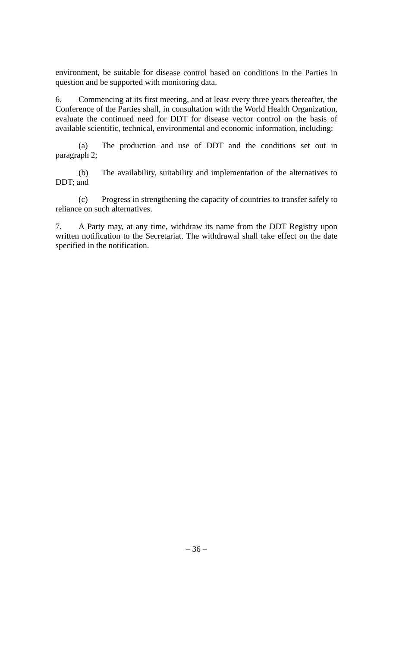environment, be suitable for disease control based on conditions in the Parties in question and be supported with monitoring data.

6. Commencing at its first meeting, and at least every three years thereafter, the Conference of the Parties shall, in consultation with the World Health Organization, evaluate the continued need for DDT for disease vector control on the basis of available scientific, technical, environmental and economic information, including:

 (a) The production and use of DDT and the conditions set out in paragraph 2;

 (b) The availability, suitability and implementation of the alternatives to DDT; and

 (c) Progress in strengthening the capacity of countries to transfer safely to reliance on such alternatives.

7. A Party may, at any time, withdraw its name from the DDT Registry upon written notification to the Secretariat. The withdrawal shall take effect on the date specified in the notification.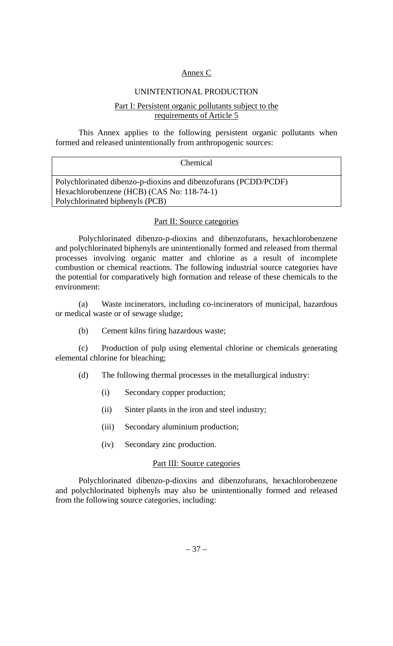# Annex C

# UNINTENTIONAL PRODUCTION

## Part I: Persistent organic pollutants subject to the requirements of Article 5

 This Annex applies to the following persistent organic pollutants when formed and released unintentionally from anthropogenic sources:

| Chemical                                                        |
|-----------------------------------------------------------------|
| Polychlorinated dibenzo-p-dioxins and dibenzofurans (PCDD/PCDF) |
| Hexachlorobenzene (HCB) (CAS No: 118-74-1)                      |
| Polychlorinated biphenyls (PCB)                                 |

#### Part II: Source categories

 Polychlorinated dibenzo-p-dioxins and dibenzofurans, hexachlorobenzene and polychlorinated biphenyls are unintentionally formed and released from thermal processes involving organic matter and chlorine as a result of incomplete combustion or chemical reactions. The following industrial source categories have the potential for comparatively high formation and release of these chemicals to the environment:

 (a) Waste incinerators, including co-incinerators of municipal, hazardous or medical waste or of sewage sludge;

(b) Cement kilns firing hazardous waste;

 (c) Production of pulp using elemental chlorine or chemicals generating elemental chlorine for bleaching;

- (d) The following thermal processes in the metallurgical industry:
	- (i) Secondary copper production;
	- (ii) Sinter plants in the iron and steel industry;
	- (iii) Secondary aluminium production;
	- (iv) Secondary zinc production.

## Part III: Source categories

 Polychlorinated dibenzo-p-dioxins and dibenzofurans, hexachlorobenzene and polychlorinated biphenyls may also be unintentionally formed and released from the following source categories, including: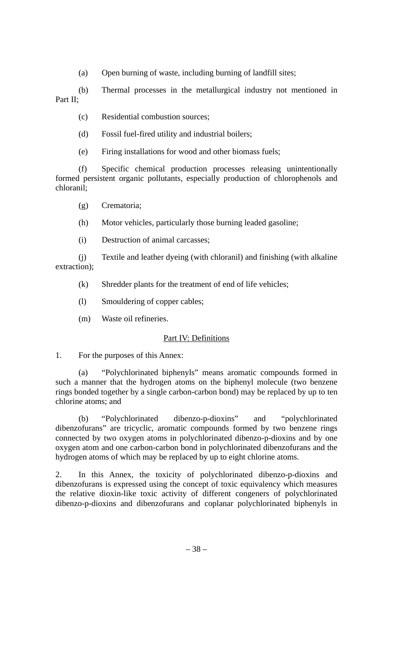- (a) Open burning of waste, including burning of landfill sites;
- (b) Thermal processes in the metallurgical industry not mentioned in Part II;
	- (c) Residential combustion sources;
	- (d) Fossil fuel-fired utility and industrial boilers;
	- (e) Firing installations for wood and other biomass fuels;

 (f) Specific chemical production processes releasing unintentionally formed persistent organic pollutants, especially production of chlorophenols and chloranil;

- (g) Crematoria;
- (h) Motor vehicles, particularly those burning leaded gasoline;
- (i) Destruction of animal carcasses;

 (j) Textile and leather dyeing (with chloranil) and finishing (with alkaline extraction);

- (k) Shredder plants for the treatment of end of life vehicles;
- (l) Smouldering of copper cables;
- (m) Waste oil refineries.

# Part IV: Definitions

1. For the purposes of this Annex:

 (a) "Polychlorinated biphenyls" means aromatic compounds formed in such a manner that the hydrogen atoms on the biphenyl molecule (two benzene rings bonded together by a single carbon-carbon bond) may be replaced by up to ten chlorine atoms; and

 (b) "Polychlorinated dibenzo-p-dioxins" and "polychlorinated dibenzofurans" are tricyclic, aromatic compounds formed by two benzene rings connected by two oxygen atoms in polychlorinated dibenzo-p-dioxins and by one oxygen atom and one carbon-carbon bond in polychlorinated dibenzofurans and the hydrogen atoms of which may be replaced by up to eight chlorine atoms.

2. In this Annex, the toxicity of polychlorinated dibenzo-p-dioxins and dibenzofurans is expressed using the concept of toxic equivalency which measures the relative dioxin-like toxic activity of different congeners of polychlorinated dibenzo-p-dioxins and dibenzofurans and coplanar polychlorinated biphenyls in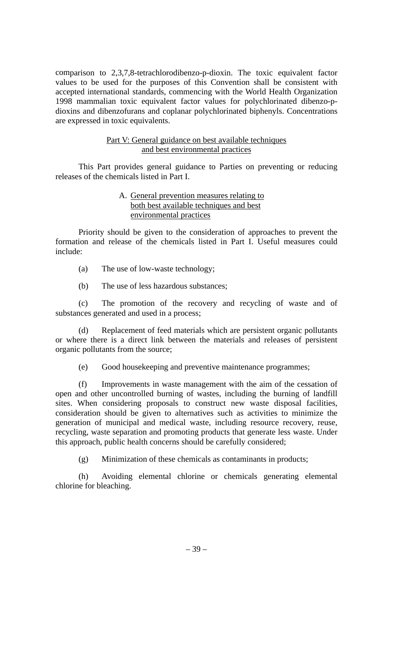comparison to 2,3,7,8-tetrachlorodibenzo-p-dioxin. The toxic equivalent factor values to be used for the purposes of this Convention shall be consistent with accepted international standards, commencing with the World Health Organization 1998 mammalian toxic equivalent factor values for polychlorinated dibenzo-pdioxins and dibenzofurans and coplanar polychlorinated biphenyls. Concentrations are expressed in toxic equivalents.

#### Part V: General guidance on best available techniques and best environmental practices

 This Part provides general guidance to Parties on preventing or reducing releases of the chemicals listed in Part I.

## A. General prevention measures relating to both best available techniques and best environmental practices

 Priority should be given to the consideration of approaches to prevent the formation and release of the chemicals listed in Part I. Useful measures could include:

- (a) The use of low-waste technology;
- (b) The use of less hazardous substances;

 (c) The promotion of the recovery and recycling of waste and of substances generated and used in a process;

 (d) Replacement of feed materials which are persistent organic pollutants or where there is a direct link between the materials and releases of persistent organic pollutants from the source;

(e) Good housekeeping and preventive maintenance programmes;

 (f) Improvements in waste management with the aim of the cessation of open and other uncontrolled burning of wastes, including the burning of landfill sites. When considering proposals to construct new waste disposal facilities, consideration should be given to alternatives such as activities to minimize the generation of municipal and medical waste, including resource recovery, reuse, recycling, waste separation and promoting products that generate less waste. Under this approach, public health concerns should be carefully considered;

(g) Minimization of these chemicals as contaminants in products;

 (h) Avoiding elemental chlorine or chemicals generating elemental chlorine for bleaching.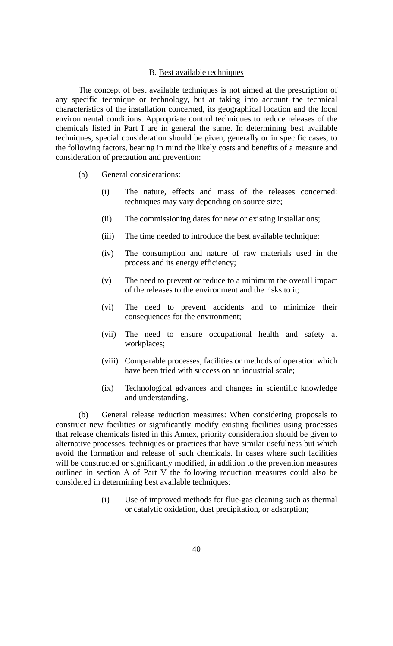#### B. Best available techniques

 The concept of best available techniques is not aimed at the prescription of any specific technique or technology, but at taking into account the technical characteristics of the installation concerned, its geographical location and the local environmental conditions. Appropriate control techniques to reduce releases of the chemicals listed in Part I are in general the same. In determining best available techniques, special consideration should be given, generally or in specific cases, to the following factors, bearing in mind the likely costs and benefits of a measure and consideration of precaution and prevention:

- (a) General considerations:
	- (i) The nature, effects and mass of the releases concerned: techniques may vary depending on source size;
	- (ii) The commissioning dates for new or existing installations;
	- (iii) The time needed to introduce the best available technique;
	- (iv) The consumption and nature of raw materials used in the process and its energy efficiency;
	- (v) The need to prevent or reduce to a minimum the overall impact of the releases to the environment and the risks to it;
	- (vi) The need to prevent accidents and to minimize their consequences for the environment;
	- (vii) The need to ensure occupational health and safety at workplaces;
	- (viii) Comparable processes, facilities or methods of operation which have been tried with success on an industrial scale;
	- (ix) Technological advances and changes in scientific knowledge and understanding.

 (b) General release reduction measures: When considering proposals to construct new facilities or significantly modify existing facilities using processes that release chemicals listed in this Annex, priority consideration should be given to alternative processes, techniques or practices that have similar usefulness but which avoid the formation and release of such chemicals. In cases where such facilities will be constructed or significantly modified, in addition to the prevention measures outlined in section A of Part V the following reduction measures could also be considered in determining best available techniques:

> (i) Use of improved methods for flue-gas cleaning such as thermal or catalytic oxidation, dust precipitation, or adsorption;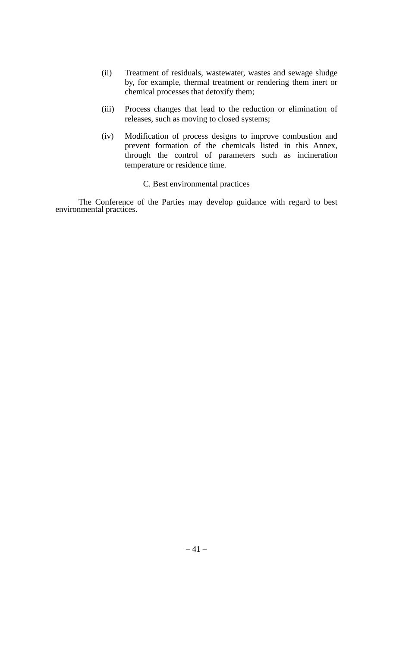- (ii) Treatment of residuals, wastewater, wastes and sewage sludge by, for example, thermal treatment or rendering them inert or chemical processes that detoxify them;
- (iii) Process changes that lead to the reduction or elimination of releases, such as moving to closed systems;
- (iv) Modification of process designs to improve combustion and prevent formation of the chemicals listed in this Annex, through the control of parameters such as incineration temperature or residence time.

## C. Best environmental practices

 The Conference of the Parties may develop guidance with regard to best environmental practices.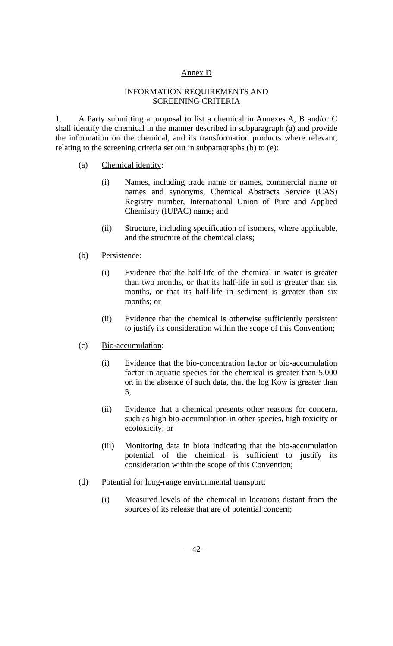# Annex D

# INFORMATION REQUIREMENTS AND SCREENING CRITERIA

1. A Party submitting a proposal to list a chemical in Annexes A, B and/or C shall identify the chemical in the manner described in subparagraph (a) and provide the information on the chemical, and its transformation products where relevant, relating to the screening criteria set out in subparagraphs (b) to (e):

#### (a) Chemical identity:

- (i) Names, including trade name or names, commercial name or names and synonyms, Chemical Abstracts Service (CAS) Registry number, International Union of Pure and Applied Chemistry (IUPAC) name; and
- (ii) Structure, including specification of isomers, where applicable, and the structure of the chemical class;
- (b) Persistence:
	- (i) Evidence that the half-life of the chemical in water is greater than two months, or that its half-life in soil is greater than six months, or that its half-life in sediment is greater than six months; or
	- (ii) Evidence that the chemical is otherwise sufficiently persistent to justify its consideration within the scope of this Convention;
- (c) Bio-accumulation:
	- (i) Evidence that the bio-concentration factor or bio-accumulation factor in aquatic species for the chemical is greater than 5,000 or, in the absence of such data, that the log Kow is greater than 5;
	- (ii) Evidence that a chemical presents other reasons for concern, such as high bio-accumulation in other species, high toxicity or ecotoxicity; or
	- (iii) Monitoring data in biota indicating that the bio-accumulation potential of the chemical is sufficient to justify its consideration within the scope of this Convention;
- (d) Potential for long-range environmental transport:
	- (i) Measured levels of the chemical in locations distant from the sources of its release that are of potential concern;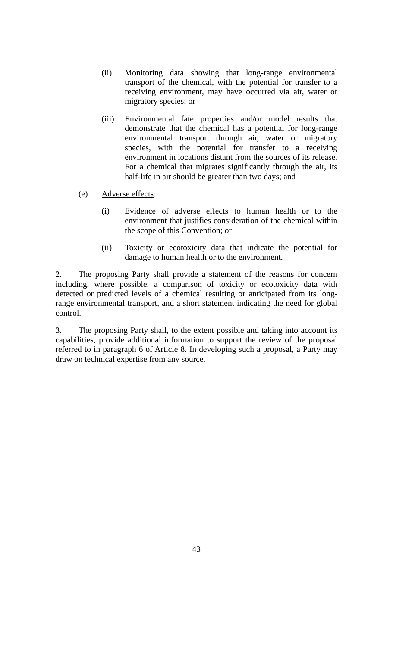- (ii) Monitoring data showing that long-range environmental transport of the chemical, with the potential for transfer to a receiving environment, may have occurred via air, water or migratory species; or
- (iii) Environmental fate properties and/or model results that demonstrate that the chemical has a potential for long-range environmental transport through air, water or migratory species, with the potential for transfer to a receiving environment in locations distant from the sources of its release. For a chemical that migrates significantly through the air, its half-life in air should be greater than two days; and
- (e) Adverse effects:
	- (i) Evidence of adverse effects to human health or to the environment that justifies consideration of the chemical within the scope of this Convention; or
	- (ii) Toxicity or ecotoxicity data that indicate the potential for damage to human health or to the environment.

2. The proposing Party shall provide a statement of the reasons for concern including, where possible, a comparison of toxicity or ecotoxicity data with detected or predicted levels of a chemical resulting or anticipated from its longrange environmental transport, and a short statement indicating the need for global control.

3. The proposing Party shall, to the extent possible and taking into account its capabilities, provide additional information to support the review of the proposal referred to in paragraph 6 of Article 8. In developing such a proposal, a Party may draw on technical expertise from any source.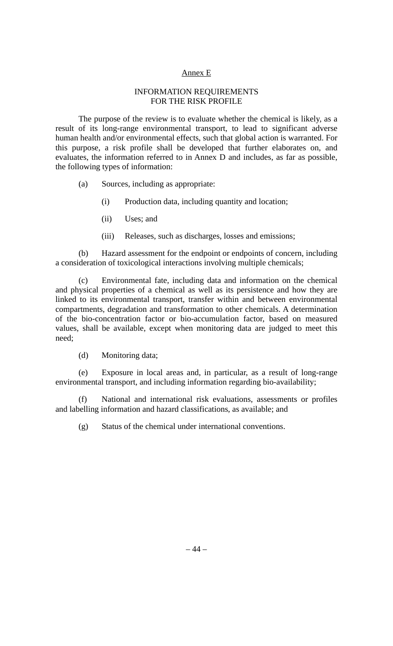## Annex E

### INFORMATION REQUIREMENTS FOR THE RISK PROFILE

 The purpose of the review is to evaluate whether the chemical is likely, as a result of its long-range environmental transport, to lead to significant adverse human health and/or environmental effects, such that global action is warranted. For this purpose, a risk profile shall be developed that further elaborates on, and evaluates, the information referred to in Annex D and includes, as far as possible, the following types of information:

- (a) Sources, including as appropriate:
	- (i) Production data, including quantity and location;
	- (ii) Uses; and
	- (iii) Releases, such as discharges, losses and emissions;

 (b) Hazard assessment for the endpoint or endpoints of concern, including a consideration of toxicological interactions involving multiple chemicals;

 (c) Environmental fate, including data and information on the chemical and physical properties of a chemical as well as its persistence and how they are linked to its environmental transport, transfer within and between environmental compartments, degradation and transformation to other chemicals. A determination of the bio-concentration factor or bio-accumulation factor, based on measured values, shall be available, except when monitoring data are judged to meet this need;

(d) Monitoring data;

 (e) Exposure in local areas and, in particular, as a result of long-range environmental transport, and including information regarding bio-availability;

 (f) National and international risk evaluations, assessments or profiles and labelling information and hazard classifications, as available; and

(g) Status of the chemical under international conventions.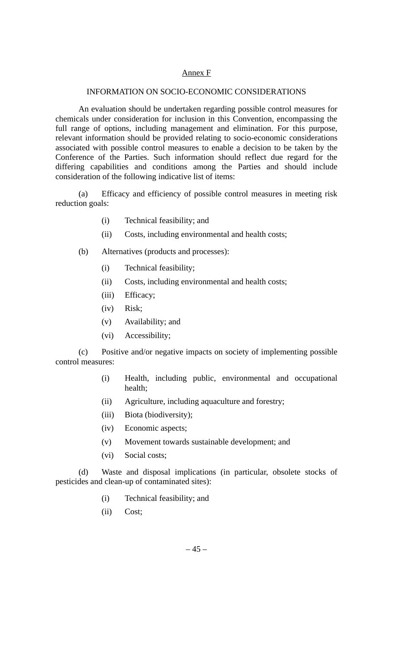# Annex F

# INFORMATION ON SOCIO-ECONOMIC CONSIDERATIONS

 An evaluation should be undertaken regarding possible control measures for chemicals under consideration for inclusion in this Convention, encompassing the full range of options, including management and elimination. For this purpose, relevant information should be provided relating to socio-economic considerations associated with possible control measures to enable a decision to be taken by the Conference of the Parties. Such information should reflect due regard for the differing capabilities and conditions among the Parties and should include consideration of the following indicative list of items:

 (a) Efficacy and efficiency of possible control measures in meeting risk reduction goals:

- (i) Technical feasibility; and
- (ii) Costs, including environmental and health costs;
- (b) Alternatives (products and processes):
	- (i) Technical feasibility;
	- (ii) Costs, including environmental and health costs;
	- (iii) Efficacy;
	- (iv) Risk;
	- (v) Availability; and
	- (vi) Accessibility;

 (c) Positive and/or negative impacts on society of implementing possible control measures:

- (i) Health, including public, environmental and occupational health;
- (ii) Agriculture, including aquaculture and forestry;
- (iii) Biota (biodiversity);
- (iv) Economic aspects;
- (v) Movement towards sustainable development; and
- (vi) Social costs;

 (d) Waste and disposal implications (in particular, obsolete stocks of pesticides and clean-up of contaminated sites):

- (i) Technical feasibility; and
- (ii) Cost;